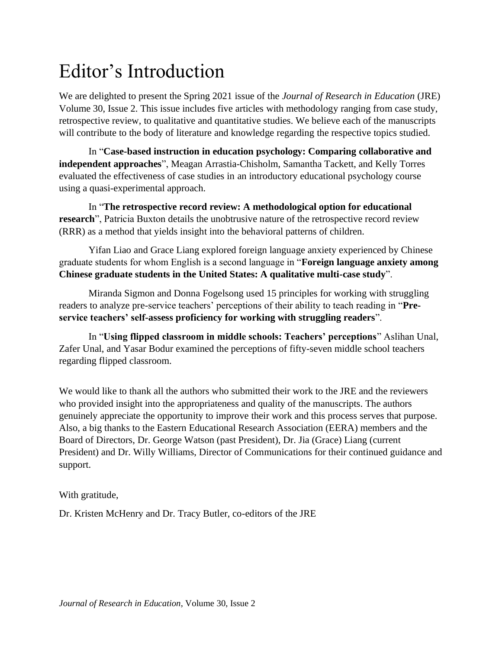## Editor's Introduction

We are delighted to present the Spring 2021 issue of the *Journal of Research in Education* (JRE) Volume 30, Issue 2. This issue includes five articles with methodology ranging from case study, retrospective review, to qualitative and quantitative studies. We believe each of the manuscripts will contribute to the body of literature and knowledge regarding the respective topics studied.

In "**Case-based instruction in education psychology: Comparing collaborative and independent approaches**", Meagan Arrastia-Chisholm, Samantha Tackett, and Kelly Torres evaluated the effectiveness of case studies in an introductory educational psychology course using a quasi-experimental approach.

In "**The retrospective record review: A methodological option for educational research**", Patricia Buxton details the unobtrusive nature of the retrospective record review (RRR) as a method that yields insight into the behavioral patterns of children.

Yifan Liao and Grace Liang explored foreign language anxiety experienced by Chinese graduate students for whom English is a second language in "**Foreign language anxiety among Chinese graduate students in the United States: A qualitative multi-case study**".

Miranda Sigmon and Donna Fogelsong used 15 principles for working with struggling readers to analyze pre-service teachers' perceptions of their ability to teach reading in "**Preservice teachers' self-assess proficiency for working with struggling readers**".

In "**Using flipped classroom in middle schools: Teachers' perceptions**" Aslihan Unal, Zafer Unal, and Yasar Bodur examined the perceptions of fifty-seven middle school teachers regarding flipped classroom.

We would like to thank all the authors who submitted their work to the JRE and the reviewers who provided insight into the appropriateness and quality of the manuscripts. The authors genuinely appreciate the opportunity to improve their work and this process serves that purpose. Also, a big thanks to the Eastern Educational Research Association (EERA) members and the Board of Directors, Dr. George Watson (past President), Dr. Jia (Grace) Liang (current President) and Dr. Willy Williams, Director of Communications for their continued guidance and support.

With gratitude,

Dr. Kristen McHenry and Dr. Tracy Butler, co-editors of the JRE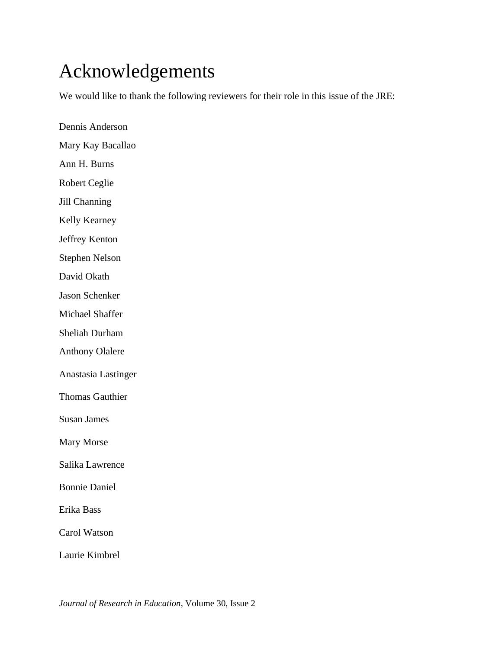## Acknowledgements

We would like to thank the following reviewers for their role in this issue of the JRE:

Dennis Anderson Mary Kay Bacallao Ann H. Burns Robert Ceglie Jill Channing Kelly Kearney Jeffrey Kenton Stephen Nelson David Okath Jason Schenker Michael Shaffer Sheliah Durham Anthony Olalere Anastasia Lastinger Thomas Gauthier Susan James Mary Morse Salika Lawrence Bonnie Daniel Erika Bass Carol Watson Laurie Kimbrel